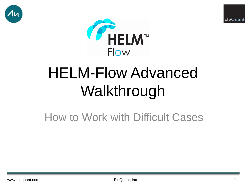





# HELM-Flow Advanced Walkthrough

# How to Work with Difficult Cases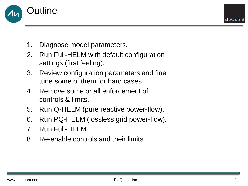

- 1. Diagnose model parameters.
- 2. Run Full-HELM with default configuration settings (first feeling).
- 3. Review configuration parameters and fine tune some of them for hard cases.
- 4. Remove some or all enforcement of controls & limits.
- 5. Run Q-HELM (pure reactive power-flow).
- 6. Run PQ-HELM (lossless grid power-flow).
- 7. Run Full-HELM.
- 8. Re-enable controls and their limits.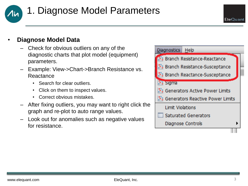

## 1. Diagnose Model Parameters

### • **Diagnose Model Data**

- Check for obvious outliers on any of the diagnostic charts that plot model (equipment) parameters.
- Example: View->Chart->Branch Resistance vs. **Reactance** 
	- Search for clear outliers.
	- Click on them to inspect values.
	- Correct obvious mistakes.
- After fixing outliers, you may want to right click the graph and re-plot to auto range values.
- Look out for anomalies such as negative values for resistance.

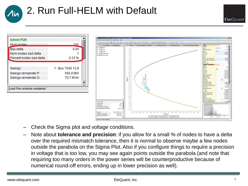# 2. Run Full-HELM with Default





- Check the Sigma plot and voltage conditions.
- Note about **tolerance and precision**: if you allow for a small % of nodes to have a delta over the required mismatch tolerance, then it is normal to observe maybe a few nodes outside the parabola on the Sigma Plot. Also if you configure things to require a precision in voltage that is too low, you may see again points outside the parabola (and note that requiring too many orders in the power series will be counterproductive because of numerical round-off errors, ending up in lower precision as well).

EleQuant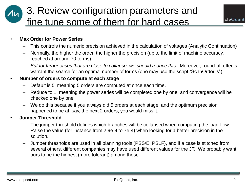## 3. Review configuration parameters and fine tune some of them for hard cases



### • **Max Order for Power Series**

- This controls the numeric precision achieved in the calculation of voltages (Analytic Continuation)
- Normally, the higher the order, the higher the precision (up to the limit of machine accuracy, reached at around 70 terms).
- *But for larger cases that are close to collapse, we should reduce this.* Moreover, round-off effects warrant the search for an optimal number of terms (one may use the script "ScanOrder.js").

### • **Number of orders to compute at each stage**

- Default is 5, meaning 5 orders are computed at once each time.
- Reduce to 1, meaning the power series will be completed one by one, and convergence will be checked one by one.
- We do this because if you always did 5 orders at each stage, and the optimum precision happened to be at, say, the next 2 orders, you would miss it.
- **Jumper Threshold**
	- The jumper threshold defines which branches will be collapsed when computing the load-flow. Raise the value (for instance from 2.9e-4 to 7e-4) when looking for a better precision in the solution.
	- Jumper thresholds are used in all planning tools (PSS/E, PSLF), and if a case is stitched from several others, different companies may have used different values for the JT. We probably want ours to be the highest (more tolerant) among those.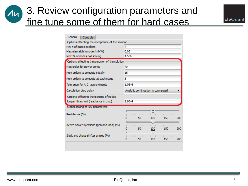### 3. Review configuration parameters and  $\lambda$ in fine tune some of them for hard cases



| General<br>Controls                              |                                            |  |  |  |  |  |  |  |
|--------------------------------------------------|--------------------------------------------|--|--|--|--|--|--|--|
| Options affecting the acceptance of the solution |                                            |  |  |  |  |  |  |  |
| Min # of buses in island                         |                                            |  |  |  |  |  |  |  |
| Max mismatch in node (in MW)                     | 0.05                                       |  |  |  |  |  |  |  |
| Max % of nodes not solving                       | 1.5%                                       |  |  |  |  |  |  |  |
| Options affecting the precision of the solution  |                                            |  |  |  |  |  |  |  |
| Max order for power series                       | 70                                         |  |  |  |  |  |  |  |
| Num orders to compute initially                  | 15                                         |  |  |  |  |  |  |  |
| Num orders to compute at each stage              | 5                                          |  |  |  |  |  |  |  |
| Tolerance for A.C. approximants                  | $1.0E - 4$                                 |  |  |  |  |  |  |  |
| Calculation stop policy                          | Analytic continuation is converged         |  |  |  |  |  |  |  |
| Options affecting the merging of nodes           |                                            |  |  |  |  |  |  |  |
| Jumper threshold (reactance in p.u.)             | $2.9E - 4$                                 |  |  |  |  |  |  |  |
| Global scaling of key parameters                 |                                            |  |  |  |  |  |  |  |
| Resistance (%)                                   | िट<br>50<br>150<br>200<br>100              |  |  |  |  |  |  |  |
| Active power injections (gen and load) (%)       | œ<br>50<br>150<br>200<br>100<br><b>Bar</b> |  |  |  |  |  |  |  |
| Slack and phase shifter angles (%)               | 50<br>150<br>200<br>100                    |  |  |  |  |  |  |  |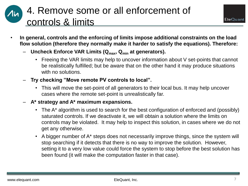## 4. Remove some or all enforcement of controls & limits

- **In general, controls and the enforcing of limits impose additional constraints on the load flow solution (therefore they normally make it harder to satisfy the equations). Therefore:**
	- **Uncheck Enforce VAR Limits (Qmax, Qmin at generators).**
		- Freeing the VAR limits may help to uncover information about V set-points that cannot be realistically fulfilled; but be aware that on the other hand it may produce situations with no solutions.
	- **Try checking "Move remote PV controls to local".**
		- This will move the set-point of all generators to their local bus. It may help uncover cases where the remote set-point is unrealistically far.
	- **A\* strategy and A\* maximum expansions.**
		- The A<sup>\*</sup> algorithm is used to search for the best configuration of enforced and (possibly) saturated controls. If we deactivate it, we will obtain a solution where the limits on controls may be violated. It may help to inspect this solution, in cases where we do not get any otherwise.
		- A bigger number of A\* steps does not necessarily improve things, since the system will stop searching if it detects that there is no way to improve the solution. However, setting it to a very low value could force the system to stop before the best solution has been found (it will make the computation faster in that case).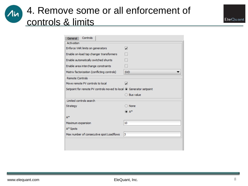### 4. Remove some or all enforcement of controls & limits

| Controls<br>General                                                 |                          |  |  |  |  |  |  |
|---------------------------------------------------------------------|--------------------------|--|--|--|--|--|--|
| Activation                                                          |                          |  |  |  |  |  |  |
| Enforce VAR limits on generators                                    | Z                        |  |  |  |  |  |  |
| Enable on-load tap changer transformers                             | $\overline{\phantom{a}}$ |  |  |  |  |  |  |
| Enable automatically switched shunts                                | $\overline{\phantom{0}}$ |  |  |  |  |  |  |
| Enable area interchange constraints                                 | $\overline{\phantom{a}}$ |  |  |  |  |  |  |
| Matrix factorization (conflicting controls)                         | <b>SVD</b>               |  |  |  |  |  |  |
| <b>Remote Controls</b>                                              |                          |  |  |  |  |  |  |
| Move remote PV controls to local                                    | Z                        |  |  |  |  |  |  |
| Setpoint for remote PV controls moved to local © Generator setpoint |                          |  |  |  |  |  |  |
|                                                                     | ◯ Bus value              |  |  |  |  |  |  |
| Limited controls search                                             |                          |  |  |  |  |  |  |
| Strategy                                                            | ◯ None                   |  |  |  |  |  |  |
|                                                                     | ® A*                     |  |  |  |  |  |  |
| $A^*$                                                               |                          |  |  |  |  |  |  |
| Maximum expansion                                                   | 10                       |  |  |  |  |  |  |
| A* Spots                                                            |                          |  |  |  |  |  |  |
| Max number of consecutive spot Loadflows                            | з                        |  |  |  |  |  |  |
|                                                                     |                          |  |  |  |  |  |  |
|                                                                     |                          |  |  |  |  |  |  |

 $\lambda$ in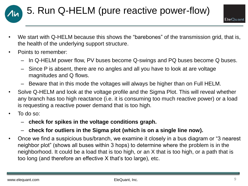

- EleQuant
- We start with Q-HELM because this shows the "barebones" of the transmission grid, that is, the health of the underlying support structure.
- Points to remember:
	- In Q-HELM power flow, PV buses become Q-swings and PQ buses become Q buses.
	- Since P is absent, there are no angles and all you have to look at are voltage magnitudes and Q flows.
	- Beware that in this mode the voltages will always be higher than on Full HELM.
- Solve Q-HELM and look at the voltage profile and the Sigma Plot. This will reveal whether any branch has too high reactance (i.e. it is consuming too much reactive power) or a load is requesting a reactive power demand that is too high.
- To do so:
	- **check for spikes in the voltage conditions graph.**
	- **check for outliers in the Sigma plot (which is on a single line now).**
- Once we find a suspicious bus/branch, we examine it closely in a bus diagram or "3 nearest neighbor plot" (shows all buses within 3 hops) to determine where the problem is in the neighborhood. It could be a load that is too high, or an X that is too high, or a path that is too long (and therefore an effective X that's too large), etc.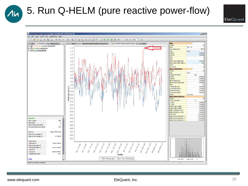### 5. Run Q-HELM (pure reactive power-flow)

EleQuant



 $\lambda$ in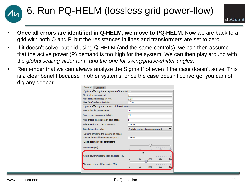



- **Once all errors are identified in Q-HELM, we move to PQ-HELM.** Now we are back to a grid with both Q and P, but the resistances in lines and transformers are set to zero.
- If it doesn't solve, but did using Q-HELM (and the same controls), we can then assume that the active power (P) demand is too high for the system. We can then play around with the *global scaling slider for P and the one for swing/phase-shifter angles*.
- Remember that we can always analyze the Sigma Plot even if the case doesn't solve. This is a clear benefit because in other systems, once the case doesn't converge, you cannot dig any deeper.

| General<br>Controls                              |                                                                                 |  |  |  |  |  |  |  |
|--------------------------------------------------|---------------------------------------------------------------------------------|--|--|--|--|--|--|--|
| Options affecting the acceptance of the solution |                                                                                 |  |  |  |  |  |  |  |
| Min # of buses in island                         | 7                                                                               |  |  |  |  |  |  |  |
| Max mismatch in node (in MW)                     | 0.05                                                                            |  |  |  |  |  |  |  |
| Max % of nodes not solving                       | 1.5%                                                                            |  |  |  |  |  |  |  |
| Options affecting the precision of the solution  |                                                                                 |  |  |  |  |  |  |  |
| Max order for power series                       | 70                                                                              |  |  |  |  |  |  |  |
| Num orders to compute initially                  | 15                                                                              |  |  |  |  |  |  |  |
| Num orders to compute at each stage              | 5                                                                               |  |  |  |  |  |  |  |
| Tolerance for A.C. approximants                  | $1.0E - 4$                                                                      |  |  |  |  |  |  |  |
| Calculation stop policy                          | Analytic continuation is converged                                              |  |  |  |  |  |  |  |
| Options affecting the merging of nodes           |                                                                                 |  |  |  |  |  |  |  |
| Jumper threshold (reactance in p.u.)             | $2.9E - 4$                                                                      |  |  |  |  |  |  |  |
| Global scaling of key parameters                 |                                                                                 |  |  |  |  |  |  |  |
| Resistance (%)                                   | <b>SSC</b>                                                                      |  |  |  |  |  |  |  |
| Active power injections (gen and load) (%)       | ŒΙ<br>$1 - 1 - 1 - 1 - 1 - 1 - 1$<br>$1 - 1 - 1 - 1$<br>50<br>100<br>150<br>200 |  |  |  |  |  |  |  |
| Slack and phase shifter angles (%)               | <b><i>B</i> B B B B B B B</b><br>50<br>100<br>150<br>200<br>n                   |  |  |  |  |  |  |  |
|                                                  |                                                                                 |  |  |  |  |  |  |  |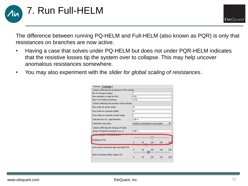7. Run Full-HELM

EleQuant

The difference between running PQ-HELM and Full-HELM (also known as PQR) is only that resistances on branches are now active.

- Having a case that solves under PQ-HELM but does not under PQR-HELM indicates that the resistive losses tip the system over to collapse. This may help uncover anomalous resistances somewhere.
- You may also experiment with the *slider for global scaling of resistances*.

| General<br>Controls                              |                                                                                     |  |  |  |  |  |  |  |
|--------------------------------------------------|-------------------------------------------------------------------------------------|--|--|--|--|--|--|--|
| Options affecting the acceptance of the solution |                                                                                     |  |  |  |  |  |  |  |
| Min # of buses in island                         | 7                                                                                   |  |  |  |  |  |  |  |
| Max mismatch in node (in MW)                     | 0.05                                                                                |  |  |  |  |  |  |  |
| Max % of nodes not solving                       | 1.5%                                                                                |  |  |  |  |  |  |  |
| Options affecting the precision of the solution  |                                                                                     |  |  |  |  |  |  |  |
| Max order for power series                       | 70                                                                                  |  |  |  |  |  |  |  |
| Num orders to compute initially                  | 15                                                                                  |  |  |  |  |  |  |  |
| Num orders to compute at each stage              | 5                                                                                   |  |  |  |  |  |  |  |
| Tolerance for A.C. approximants                  | $1.0F - 4$                                                                          |  |  |  |  |  |  |  |
| Calculation stop policy                          | Analytic continuation is converged                                                  |  |  |  |  |  |  |  |
| Options affecting the merging of nodes           |                                                                                     |  |  |  |  |  |  |  |
| Jumper threshold (reactance in p.u.)             | $2.9F-4$                                                                            |  |  |  |  |  |  |  |
| loar acaill ig ur key parameters.                | W.                                                                                  |  |  |  |  |  |  |  |
| Resistance (%)                                   | <b>COLLEGE</b><br><b>THEFT CONTROL</b><br>50<br>100<br>150<br>200<br>n              |  |  |  |  |  |  |  |
| Active power injections (gen and load) (%)       | .<br>100<br>50<br>150<br>200<br>Ω<br>-991                                           |  |  |  |  |  |  |  |
| Slack and phase shifter angles (%)               | $-1$ , $-1$ , $-1$ , $-1$<br>$1 - 1$<br>$1 - 1 - 1$<br>50<br>100<br>150<br>200<br>n |  |  |  |  |  |  |  |
|                                                  |                                                                                     |  |  |  |  |  |  |  |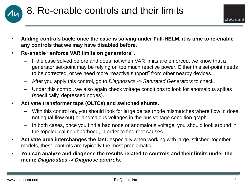

- **Adding controls back: once the case is solving under Full-HELM, it is time to re-enable any controls that we may have disabled before.**
- **Re-enable "enforce VAR limits on generators".**
	- If the case solved before and does not when VAR limits are enforced, we know that a generator set-point may be relying on too much reactive power. Either this set-point needs to be corrected, or we need more "reactive support" from other nearby devices.
	- After you apply this control, go to *Diagnostics -> Saturated Generators* to check.
	- Under this control, we also again check voltage conditions to look for anomalous spikes (specifically, depressed nodes).
- **Activate transformer taps (OLTCs) and switched shunts.**
	- With this control on, you should look for large deltas (node mismatches where flow in does not equal flow out) or anomalous voltages in the bus voltage condition graph.
	- In both cases, once you find a bad node or anomalous voltage, you should look around in the topological neighborhood, in order to find root causes.
- **Activate area interchanges the last:** especially when working with large, stitched-together models, these controls are typically the most problematic.
- **You can analyze and diagnose the results related to controls and their limits under the menu:** *Diagnostics -> Diagnose controls***.**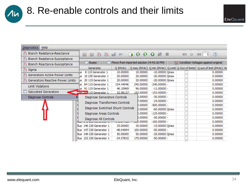## 8. Re-enable controls and their limits

| <b>Diagnostics</b><br>Help           |  |                                                  |                                  |  |                                           |            |                  |                  |      |                                                                                       |          |                |
|--------------------------------------|--|--------------------------------------------------|----------------------------------|--|-------------------------------------------|------------|------------------|------------------|------|---------------------------------------------------------------------------------------|----------|----------------|
| <b>S</b> Branch Resistance-Reactance |  |                                                  | 30 30<br>⊠<br>⊠                  |  | 66<br><b>Hull</b>                         | <b>I</b>   | $\Omega$         | 00x              | - 11 | 0CC<br>$\triangleright$                                                               | $\alpha$ | $\circledcirc$ |
| 88 Branch Resistance-Susceptance     |  |                                                  |                                  |  |                                           |            |                  |                  |      |                                                                                       |          |                |
| 88 Branch Reactance-Susceptance      |  |                                                  | <b>Buses</b><br>E                |  | Flows from imported solution (4:43:16 PM) |            |                  |                  |      | Condition Voltages against original                                                   |          |                |
| 8% Sigma                             |  |                                                  | Generator                        |  | Q (MVAr)                                  |            |                  |                  |      | Q max (MVAr)   Q min (MVAr)   Q Limit   Q Out of limits?   Q out of limit (MVAr)   No |          |                |
| Senerators Active Power Limits       |  | к                                                | 8 115 Generator 1                |  | 10.00000                                  |            | 10.00000         | $-10.00000$ Omax |      |                                                                                       |          | 0.00000        |
|                                      |  | Lis.                                             | 10 230 Generator 1               |  | 20,00000                                  |            | 20,00000         | $-20.00000$ Qmax |      |                                                                                       |          | 0.00000        |
| S Generators Reactive Power Limits   |  | Lis                                              | 20 115 Generator 1               |  | 20.00000                                  |            | 20,00000         | $-20.00000$ Omax |      |                                                                                       |          | 0.00000        |
| Limit Violations                     |  | ıs                                               | 84 115 Generator 1               |  | 154,44046                                 |            | 240,00000        | $-240.00000$ -   |      |                                                                                       |          | 0.00000        |
|                                      |  | <b>JS</b>                                        | 91 115 Generator 1               |  | 46, 10969                                 |            | 96.00000         | $-11,00000$ -    |      |                                                                                       |          | 0.00000        |
| Saturated Generators                 |  |                                                  | The Tay 115 Generator 1          |  | 32,98137                                  |            | 153.00000        | $-153,00000$ -   |      |                                                                                       |          | 0.00000        |
| Diagnose Controls                    |  |                                                  | Diagnose Generators Controls     |  |                                           |            | 5.00000          | $-30.00000$ $-$  |      |                                                                                       |          | 0.00000        |
|                                      |  | Diagnose Transformers Controls                   |                                  |  |                                           | 7.00000    | $-24.00000$ -    |                  |      |                                                                                       | 0.00000  |                |
|                                      |  |                                                  |                                  |  |                                           |            | b.00000          | $-500.00000$ $-$ |      |                                                                                       |          | 0.00000        |
|                                      |  |                                                  | Diagnose Switched Shunt Controls |  |                                           | b.00000    | $-60.00000$ Omax |                  |      |                                                                                       | 0.00000  |                |
|                                      |  | Diagnose Areas Controls<br>Diagnose All Controls |                                  |  |                                           |            | <b>D.00000</b>   | $-125.00000$ -   |      |                                                                                       |          | 0.00000        |
|                                      |  |                                                  |                                  |  |                                           |            | 5.00000          | $-50,00000$ $-$  |      |                                                                                       |          | 0.00000        |
|                                      |  |                                                  |                                  |  |                                           | 000000. لپ | $-100.00000$ -   |                  |      |                                                                                       | 0.00000  |                |
|                                      |  |                                                  | Bus 146 230 Generator 1          |  | 35,00000                                  |            | 35,00000         | $-15,00000$ Omax |      |                                                                                       |          | 0.00000        |
|                                      |  |                                                  | Bus 147 230 Generator 1          |  | $-48.04094$                               |            | 100.00000        | $-50,00000$ $-$  |      |                                                                                       |          | 0.00000        |
|                                      |  |                                                  | Bus 149 230 Generator 1          |  | 50,00000                                  |            | 50,00000         | $-25.00000$ Qmax |      |                                                                                       |          | 0.00000        |
|                                      |  |                                                  | Bus 152 230 Generator 1          |  | $-34.57832$                               |            | 175,00000        | $-50.00000$ $-$  |      |                                                                                       |          | 0.00000        |
|                                      |  |                                                  |                                  |  |                                           |            |                  |                  |      |                                                                                       |          |                |

 $\lambda$ in

EleQuant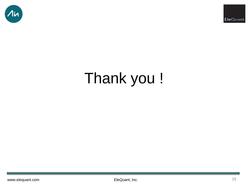



# Thank you !